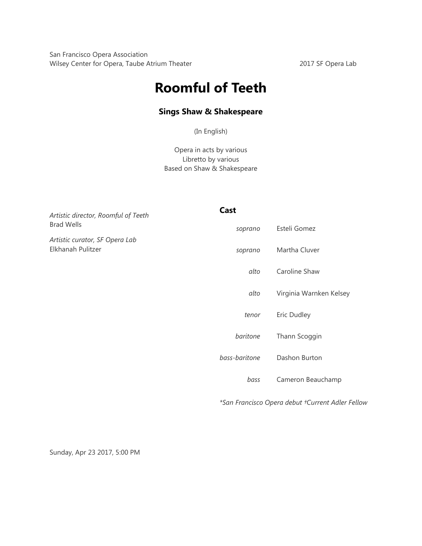San Francisco Opera Association Wilsey Center for Opera, Taube Atrium Theater 2017 SF Opera Lab

# **Roomful of Teeth**

## **Sings Shaw & Shakespeare**

(In English)

Opera in acts by various Libretto by various Based on Shaw & Shakespeare

| Artistic director, Roomful of Teeth<br><b>Brad Wells</b><br>Artistic curator, SF Opera Lab<br>Elkhanah Pulitzer | Cast          |                                                  |
|-----------------------------------------------------------------------------------------------------------------|---------------|--------------------------------------------------|
|                                                                                                                 | soprano       | Esteli Gomez                                     |
|                                                                                                                 | soprano       | Martha Cluver                                    |
|                                                                                                                 | alto          | Caroline Shaw                                    |
|                                                                                                                 | alto          | Virginia Warnken Kelsey                          |
|                                                                                                                 | tenor         | Eric Dudley                                      |
|                                                                                                                 | baritone      | Thann Scoggin                                    |
|                                                                                                                 | bass-baritone | Dashon Burton                                    |
|                                                                                                                 | bass          | Cameron Beauchamp                                |
|                                                                                                                 |               | *San Francisco Opera debut †Current Adler Fellow |

Sunday, Apr 23 2017, 5:00 PM